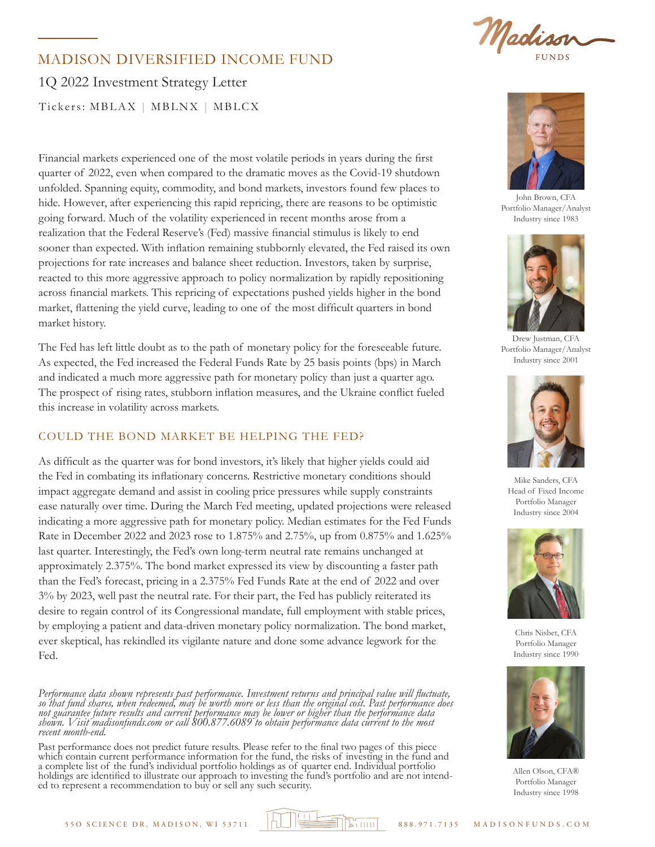

# 1Q 2022 Investment Strategy Letter MADISON DIVERSIFIED INCOME FUND Tickers: MBLAX | MBLNX | MBLCX

Financial markets experienced one of the most volatile periods in years during the first quarter of 2022, even when compared to the dramatic moves as the Covid-19 shutdown unfolded. Spanning equity, commodity, and bond markets, investors found few places to hide. However, after experiencing this rapid repricing, there are reasons to be optimistic going forward. Much of the volatility experienced in recent months arose from a realization that the Federal Reserve's (Fed) massive financial stimulus is likely to end sooner than expected. With inflation remaining stubbornly elevated, the Fed raised its own projections for rate increases and balance sheet reduction. Investors, taken by surprise, reacted to this more aggressive approach to policy normalization by rapidly repositioning across financial markets. This repricing of expectations pushed yields higher in the bond market, flattening the yield curve, leading to one of the most difficult quarters in bond market history.

The Fed has left little doubt as to the path of monetary policy for the foreseeable future. As expected, the Fed increased the Federal Funds Rate by 25 basis points (bps) in March and indicated a much more aggressive path for monetary policy than just a quarter ago. The prospect of rising rates, stubborn inflation measures, and the Ukraine conflict fueled this increase in volatility across markets.

# COULD THE BOND MARKET BE HELPING THE FED?

As difficult as the quarter was for bond investors, it's likely that higher yields could aid the Fed in combating its inflationary concerns. Restrictive monetary conditions should impact aggregate demand and assist in cooling price pressures while supply constraints ease naturally over time. During the March Fed meeting, updated projections were released indicating a more aggressive path for monetary policy. Median estimates for the Fed Funds Rate in December 2022 and 2023 rose to 1.875% and 2.75%, up from 0.875% and 1.625% last quarter. Interestingly, the Fed's own long-term neutral rate remains unchanged at approximately 2.375%. The bond market expressed its view by discounting a faster path than the Fed's forecast, pricing in a 2.375% Fed Funds Rate at the end of 2022 and over 3% by 2023, well past the neutral rate. For their part, the Fed has publicly reiterated its desire to regain control of its Congressional mandate, full employment with stable prices, by employing a patient and data-driven monetary policy normalization. The bond market, ever skeptical, has rekindled its vigilante nature and done some advance legwork for the Fed.

*Performance data shown represents past performance. Investment returns and principal value will fluctuate, so that fund shares, when redeemed, may be worth more or less than the original cost. Past performance does not guarantee future results and current performance may be lower or higher than the performance data shown. Visit madisonfunds.com or call 800.877.6089 to obtain performance data current to the most recent month-end.* 

Past performance does not predict future results. Please refer to the final two pages of this piece which contain current performance information for the fund, the risks of investing in the fund and a complete list of the fund's individual portfolio holdings as of quarter end. Individual portfolio holdings are identified to illustrate our approach to investing the fund's portfolio and are not intend- ed to represent a recommendation to buy or sell any such security.



John Brown, CFA Portfolio Manager/Analyst Industry since 1983



Drew Justman, CFA Portfolio Manager/Analyst Industry since 2001



Mike Sanders, CFA Head of Fixed Income Portfolio Manager Industry since 2004



Chris Nisbet, CFA Portfolio Manager Industry since 1990



Allen Olson, CFA® Portfolio Manager Industry since 1998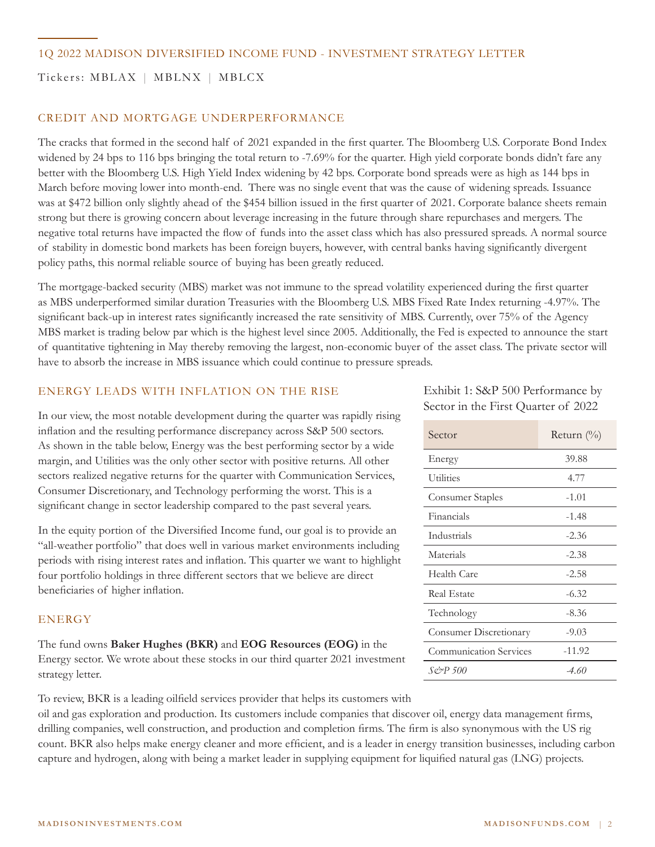Tickers: MBLAX | MBLNX | MBLCX

## CREDIT AND MORTGAGE UNDERPERFORMANCE

The cracks that formed in the second half of 2021 expanded in the first quarter. The Bloomberg U.S. Corporate Bond Index widened by 24 bps to 116 bps bringing the total return to -7.69% for the quarter. High yield corporate bonds didn't fare any better with the Bloomberg U.S. High Yield Index widening by 42 bps. Corporate bond spreads were as high as 144 bps in March before moving lower into month-end. There was no single event that was the cause of widening spreads. Issuance was at \$472 billion only slightly ahead of the \$454 billion issued in the first quarter of 2021. Corporate balance sheets remain strong but there is growing concern about leverage increasing in the future through share repurchases and mergers. The negative total returns have impacted the flow of funds into the asset class which has also pressured spreads. A normal source of stability in domestic bond markets has been foreign buyers, however, with central banks having significantly divergent policy paths, this normal reliable source of buying has been greatly reduced.

The mortgage-backed security (MBS) market was not immune to the spread volatility experienced during the first quarter as MBS underperformed similar duration Treasuries with the Bloomberg U.S. MBS Fixed Rate Index returning -4.97%. The significant back-up in interest rates significantly increased the rate sensitivity of MBS. Currently, over 75% of the Agency MBS market is trading below par which is the highest level since 2005. Additionally, the Fed is expected to announce the start of quantitative tightening in May thereby removing the largest, non-economic buyer of the asset class. The private sector will have to absorb the increase in MBS issuance which could continue to pressure spreads.

### ENERGY LEADS WITH INFLATION ON THE RISE

In our view, the most notable development during the quarter was rapidly rising inflation and the resulting performance discrepancy across S&P 500 sectors. As shown in the table below, Energy was the best performing sector by a wide margin, and Utilities was the only other sector with positive returns. All other sectors realized negative returns for the quarter with Communication Services, Consumer Discretionary, and Technology performing the worst. This is a significant change in sector leadership compared to the past several years.

In the equity portion of the Diversified Income fund, our goal is to provide an "all-weather portfolio" that does well in various market environments including periods with rising interest rates and inflation. This quarter we want to highlight four portfolio holdings in three different sectors that we believe are direct beneficiaries of higher inflation.

#### ENERGY

The fund owns **Baker Hughes (BKR)** and **EOG Resources (EOG)** in the Energy sector. We wrote about these stocks in our third quarter 2021 investment strategy letter.

To review, BKR is a leading oilfield services provider that helps its customers with

oil and gas exploration and production. Its customers include companies that discover oil, energy data management firms, drilling companies, well construction, and production and completion firms. The firm is also synonymous with the US rig count. BKR also helps make energy cleaner and more efficient, and is a leader in energy transition businesses, including carbon capture and hydrogen, along with being a market leader in supplying equipment for liquified natural gas (LNG) projects.

Exhibit 1: S&P 500 Performance by Sector in the First Quarter of 2022

| Sector                        | Return $(\%)$ |  |  |  |
|-------------------------------|---------------|--|--|--|
| Energy                        | 39.88         |  |  |  |
| <b>Utilities</b>              | 4.77          |  |  |  |
| <b>Consumer Staples</b>       | $-1.01$       |  |  |  |
| Financials                    | -1.48         |  |  |  |
| Industrials                   | $-2.36$       |  |  |  |
| Materials                     | $-2.38$       |  |  |  |
| Health Care                   | $-2.58$       |  |  |  |
| Real Estate                   | $-6.32$       |  |  |  |
| Technology                    | $-8.36$       |  |  |  |
| <b>Consumer Discretionary</b> | $-9.03$       |  |  |  |
| <b>Communication Services</b> | $-11.92$      |  |  |  |
| S&P 500                       | -4.60         |  |  |  |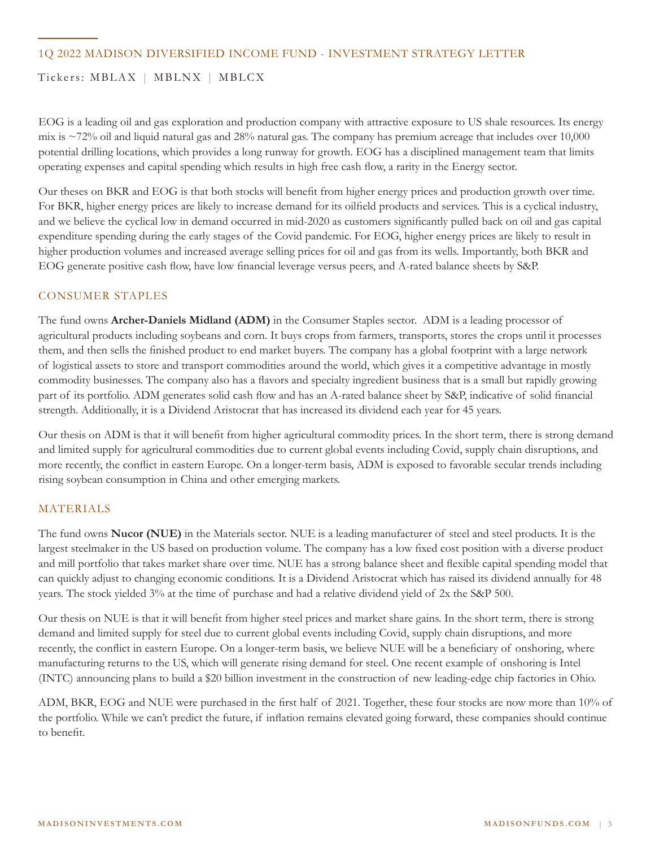### 1Q 2022 MADISON DIVERSIFIED INCOME FUND - INVESTMENT STRATEGY LETTER

# Tickers: MBLAX | MBLNX | MBLCX

EOG is a leading oil and gas exploration and production company with attractive exposure to US shale resources. Its energy mix is ~72% oil and liquid natural gas and 28% natural gas. The company has premium acreage that includes over 10,000 potential drilling locations, which provides a long runway for growth. EOG has a disciplined management team that limits operating expenses and capital spending which results in high free cash flow, a rarity in the Energy sector.

Our theses on BKR and EOG is that both stocks will benefit from higher energy prices and production growth over time. For BKR, higher energy prices are likely to increase demand for its oilfield products and services. This is a cyclical industry, and we believe the cyclical low in demand occurred in mid-2020 as customers significantly pulled back on oil and gas capital expenditure spending during the early stages of the Covid pandemic. For EOG, higher energy prices are likely to result in higher production volumes and increased average selling prices for oil and gas from its wells. Importantly, both BKR and EOG generate positive cash flow, have low financial leverage versus peers, and A-rated balance sheets by S&P.

#### CONSUMER STAPLES

The fund owns **Archer-Daniels Midland (ADM)** in the Consumer Staples sector. ADM is a leading processor of agricultural products including soybeans and corn. It buys crops from farmers, transports, stores the crops until it processes them, and then sells the finished product to end market buyers. The company has a global footprint with a large network of logistical assets to store and transport commodities around the world, which gives it a competitive advantage in mostly commodity businesses. The company also has a flavors and specialty ingredient business that is a small but rapidly growing part of its portfolio. ADM generates solid cash flow and has an A-rated balance sheet by S&P, indicative of solid financial strength. Additionally, it is a Dividend Aristocrat that has increased its dividend each year for 45 years.

Our thesis on ADM is that it will benefit from higher agricultural commodity prices. In the short term, there is strong demand and limited supply for agricultural commodities due to current global events including Covid, supply chain disruptions, and more recently, the conflict in eastern Europe. On a longer-term basis, ADM is exposed to favorable secular trends including rising soybean consumption in China and other emerging markets.

#### MATERIALS

The fund owns **Nucor (NUE)** in the Materials sector. NUE is a leading manufacturer of steel and steel products. It is the largest steelmaker in the US based on production volume. The company has a low fixed cost position with a diverse product and mill portfolio that takes market share over time. NUE has a strong balance sheet and flexible capital spending model that can quickly adjust to changing economic conditions. It is a Dividend Aristocrat which has raised its dividend annually for 48 years. The stock yielded 3% at the time of purchase and had a relative dividend yield of 2x the S&P 500.

Our thesis on NUE is that it will benefit from higher steel prices and market share gains. In the short term, there is strong demand and limited supply for steel due to current global events including Covid, supply chain disruptions, and more recently, the conflict in eastern Europe. On a longer-term basis, we believe NUE will be a beneficiary of onshoring, where manufacturing returns to the US, which will generate rising demand for steel. One recent example of onshoring is Intel (INTC) announcing plans to build a \$20 billion investment in the construction of new leading-edge chip factories in Ohio.

ADM, BKR, EOG and NUE were purchased in the first half of 2021. Together, these four stocks are now more than 10% of the portfolio. While we can't predict the future, if inflation remains elevated going forward, these companies should continue to benefit.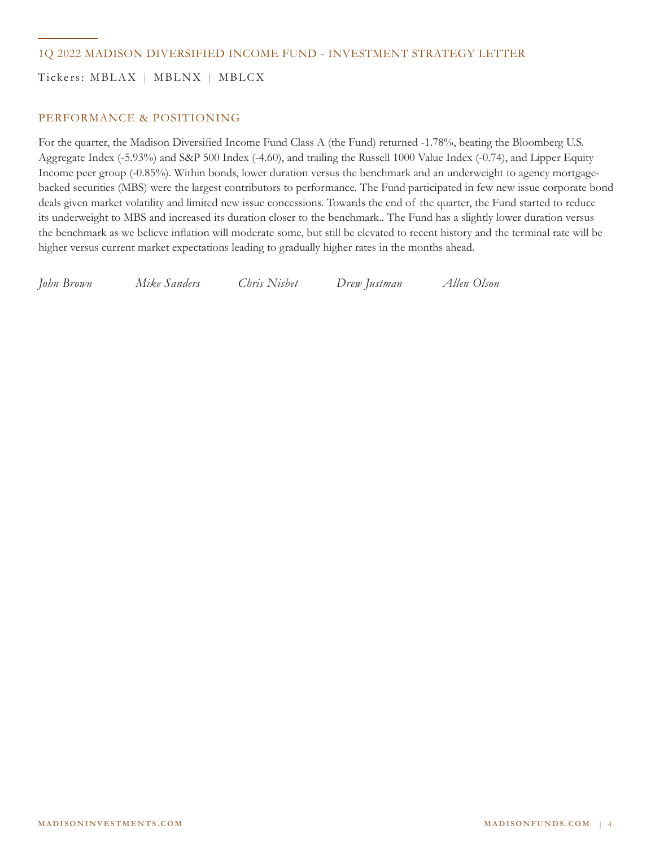### 1Q 2022 MADISON DIVERSIFIED INCOME FUND - INVESTMENT STRATEGY LETTER

Tickers: MBLAX | MBLNX | MBLCX

### PERFORMANCE & POSITIONING

For the quarter, the Madison Diversified Income Fund Class A (the Fund) returned -1.78%, beating the Bloomberg U.S. Aggregate Index (-5.93%) and S&P 500 Index (-4.60), and trailing the Russell 1000 Value Index (-0.74), and Lipper Equity Income peer group (-0.85%). Within bonds, lower duration versus the benchmark and an underweight to agency mortgagebacked securities (MBS) were the largest contributors to performance. The Fund participated in few new issue corporate bond deals given market volatility and limited new issue concessions. Towards the end of the quarter, the Fund started to reduce its underweight to MBS and increased its duration closer to the benchmark.. The Fund has a slightly lower duration versus the benchmark as we believe inflation will moderate some, but still be elevated to recent history and the terminal rate will be higher versus current market expectations leading to gradually higher rates in the months ahead.

*John Brown Mike Sanders Chris Nisbet Drew Justman Allen Olson*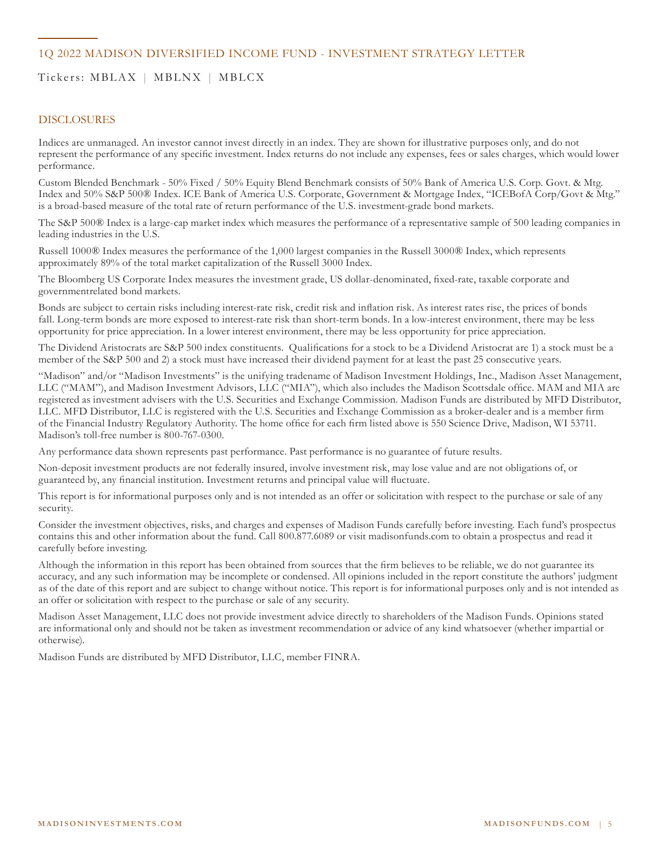### 1Q 2022 MADISON DIVERSIFIED INCOME FUND - INVESTMENT STRATEGY LETTER

# Tickers: MBLAX | MBLNX | MBLCX

#### DISCLOSURES

Indices are unmanaged. An investor cannot invest directly in an index. They are shown for illustrative purposes only, and do not represent the performance of any specific investment. Index returns do not include any expenses, fees or sales charges, which would lower performance.

Custom Blended Benchmark - 50% Fixed / 50% Equity Blend Benchmark consists of 50% Bank of America U.S. Corp. Govt. & Mtg. Index and 50% S&P 500® Index. ICE Bank of America U.S. Corporate, Government & Mortgage Index, "ICEBofA Corp/Govt & Mtg." is a broad-based measure of the total rate of return performance of the U.S. investment-grade bond markets.

The S&P 500® Index is a large-cap market index which measures the performance of a representative sample of 500 leading companies in leading industries in the U.S.

Russell 1000® Index measures the performance of the 1,000 largest companies in the Russell 3000® Index, which represents approximately 89% of the total market capitalization of the Russell 3000 Index.

The Bloomberg US Corporate Index measures the investment grade, US dollar-denominated, fixed-rate, taxable corporate and governmentrelated bond markets.

Bonds are subject to certain risks including interest-rate risk, credit risk and inflation risk. As interest rates rise, the prices of bonds fall. Long-term bonds are more exposed to interest-rate risk than short-term bonds. In a low-interest environment, there may be less opportunity for price appreciation. In a lower interest environment, there may be less opportunity for price appreciation.

The Dividend Aristocrats are S&P 500 index constituents. Qualifications for a stock to be a Dividend Aristocrat are 1) a stock must be a member of the S&P 500 and 2) a stock must have increased their dividend payment for at least the past 25 consecutive years.

"Madison" and/or "Madison Investments" is the unifying tradename of Madison Investment Holdings, Inc., Madison Asset Management, LLC ("MAM"), and Madison Investment Advisors, LLC ("MIA"), which also includes the Madison Scottsdale office. MAM and MIA are registered as investment advisers with the U.S. Securities and Exchange Commission. Madison Funds are distributed by MFD Distributor, LLC. MFD Distributor, LLC is registered with the U.S. Securities and Exchange Commission as a broker-dealer and is a member firm of the Financial Industry Regulatory Authority. The home office for each firm listed above is 550 Science Drive, Madison, WI 53711. Madison's toll-free number is 800-767-0300.

Any performance data shown represents past performance. Past performance is no guarantee of future results.

Non-deposit investment products are not federally insured, involve investment risk, may lose value and are not obligations of, or guaranteed by, any financial institution. Investment returns and principal value will fluctuate.

This report is for informational purposes only and is not intended as an offer or solicitation with respect to the purchase or sale of any security.

Consider the investment objectives, risks, and charges and expenses of Madison Funds carefully before investing. Each fund's prospectus contains this and other information about the fund. Call 800.877.6089 or visit madisonfunds.com to obtain a prospectus and read it carefully before investing.

Although the information in this report has been obtained from sources that the firm believes to be reliable, we do not guarantee its accuracy, and any such information may be incomplete or condensed. All opinions included in the report constitute the authors' judgment as of the date of this report and are subject to change without notice. This report is for informational purposes only and is not intended as an offer or solicitation with respect to the purchase or sale of any security.

Madison Asset Management, LLC does not provide investment advice directly to shareholders of the Madison Funds. Opinions stated are informational only and should not be taken as investment recommendation or advice of any kind whatsoever (whether impartial or otherwise).

Madison Funds are distributed by MFD Distributor, LLC, member FINRA.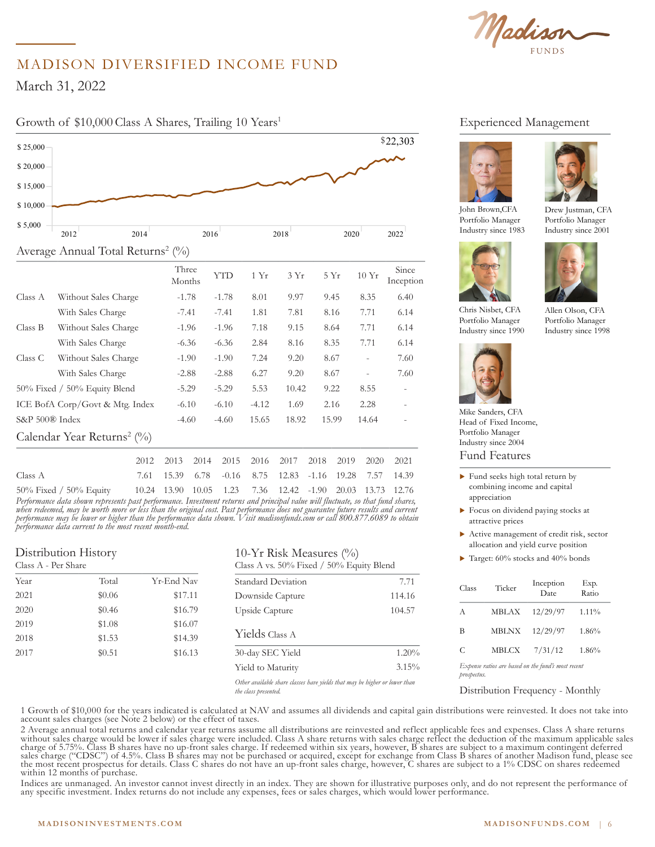Madison

# MADISON DIVERSIFIED INCOME FUND

March 31, 2022

\$ 20,000

# Growth of \$10,000 Class A Shares, Trailing 10 Years<sup>1</sup>



|                |                                           | Three<br>Months | YTD     | 1 Yr    | 3Yr   | 5Yr   | 10Yr                     | Since<br>Inception       |
|----------------|-------------------------------------------|-----------------|---------|---------|-------|-------|--------------------------|--------------------------|
| Class A        | Without Sales Charge                      | $-1.78$         | $-1.78$ | 8.01    | 9.97  | 9.45  | 8.35                     | 6.40                     |
|                | With Sales Charge                         | $-7.41$         | $-7.41$ | 1.81    | 7.81  | 8.16  | 7.71                     | 6.14                     |
| Class B        | Without Sales Charge                      | $-1.96$         | $-1.96$ | 7.18    | 9.15  | 8.64  | 7.71                     | 6.14                     |
|                | With Sales Charge                         | $-6.36$         | $-6.36$ | 2.84    | 8.16  | 8.35  | 7.71                     | 6.14                     |
| Class C        | Without Sales Charge                      | $-1.90$         | $-1.90$ | 7.24    | 9.20  | 8.67  | $\overline{\phantom{a}}$ | 7.60                     |
|                | With Sales Charge                         | $-2.88$         | $-2.88$ | 6.27    | 9.20  | 8.67  | $\overline{a}$           | 7.60                     |
|                | $50\%$ Fixed / $50\%$ Equity Blend        | $-5.29$         | $-5.29$ | 5.53    | 10.42 | 9.22  | 8.55                     | $\overline{\phantom{a}}$ |
|                | ICE BofA Corp/Govt & Mtg. Index           | $-6.10$         | $-6.10$ | $-4.12$ | 1.69  | 2.16  | 2.28                     |                          |
| S&P 500® Index |                                           | $-4.60$         | $-4.60$ | 15.65   | 18.92 | 15.99 | 14.64                    |                          |
|                | Calendar Year Returns <sup>2</sup> $(\%)$ |                 |         |         |       |       |                          |                          |
|                |                                           |                 |         |         |       |       |                          |                          |

|                                                                                  |  |  | 2012 2013 2014 2015 2016 2017 2018 2019 2020 2021       |  |  |
|----------------------------------------------------------------------------------|--|--|---------------------------------------------------------|--|--|
| Class A                                                                          |  |  | 7.61 15.39 6.78 -0.16 8.75 12.83 -1.16 19.28 7.57 14.39 |  |  |
| 50% Fixed / 50% Equity 10.24 13.90 10.05 1.23 7.36 12.42 -1.90 20.03 13.73 12.76 |  |  |                                                         |  |  |

Performance data shown represents past performance. Investment returns and principal value will fluctuate, so that fund shares,<br>when redeemed, may be worth more or less than the original cost. Past performance does not gua *performance may be lower or higher than the performance data shown. Visit madisonfunds.com or call 800.877.6089 to obtain performance data current to the most recent month-end.*

#### Distribution History  $C1$

| Class A - Per Share |        |            |
|---------------------|--------|------------|
| Year                | Total  | Yr-End Nav |
| 2021                | \$0.06 | \$17.11    |
| 2020                | \$0.46 | \$16.79    |
| 2019                | \$1.08 | \$16.07    |
| 2018                | \$1.53 | \$14.39    |
| 2017                | \$0.51 | \$16.13    |
|                     |        |            |

## 10-Yr Risk Measures  $(\% )$

Class A vs. 50% Fixed / 50% Equity Blend

| Yr-End Nav | Standard Deviation                                                         | 7.71   |
|------------|----------------------------------------------------------------------------|--------|
| \$17.11    | Downside Capture                                                           | 114.16 |
| \$16.79    | Upside Capture                                                             | 104.57 |
| \$16.07    |                                                                            |        |
| \$14.39    | Yields Class A                                                             |        |
| \$16.13    | 30-day SEC Yield                                                           | 1.20%  |
|            | Yield to Maturity                                                          | 3.15%  |
|            | Other available share classes have yields that may be higher or lower than |        |

*Other available share classes have yields that may be higher or lower than the class presented.* 

# Experienced Management



John Brown,CFA Portfolio Manager Industry since 1983



Portfolio Manager Industry since 1990

Allen Olson, CFA Portfolio Manager Industry since 1998

Drew Justman, CFA Portfolio Manager Industry since 2001



Fund Features Mike Sanders, CFA Head of Fixed Income, Portfolio Manager Industry since 2004

- $\blacktriangleright$  Fund seeks high total return by combining income and capital appreciation
- $\blacktriangleright$  Focus on dividend paying stocks at attractive prices
- $\blacktriangleright$  Active management of credit risk, sector allocation and yield curve position
- $\blacktriangleright$  Target: 60% stocks and 40% bonds

| Class | Ticker       | Inception<br>Date | Exp.<br>Ratio |
|-------|--------------|-------------------|---------------|
| A     | MBLAX        | 12/29/97          | 1.11%         |
| В     | <b>MBLNX</b> | 12/29/97          | 1.86%         |
| C     | <b>MBLCX</b> | 7/31/12           | 1.86%         |
|       |              | .                 |               |

*Expense ratios are based on the fund's most recent prospectus.*

Distribution Frequency - Monthly

1 Growth of \$10,000 for the years indicated is calculated at NAV and assumes all dividends and capital gain distributions were reinvested. It does not take into<br>account sales charges (see Note 2 below) or the effect of tax

2 Average annual total returns and calendar year returns assume all distributions are reinvested and reflect applicable fees and expenses. Class A share returns<br>without sales charge would be lower if sales charge were incl within 12 months of purchase.

Indices are unmanaged. An investor cannot invest directly in an index. They are shown for illustrative purposes only, and do not represent the performance of any specific investment. Index returns do not include any expenses, fees or sales charges, which would lower performance.